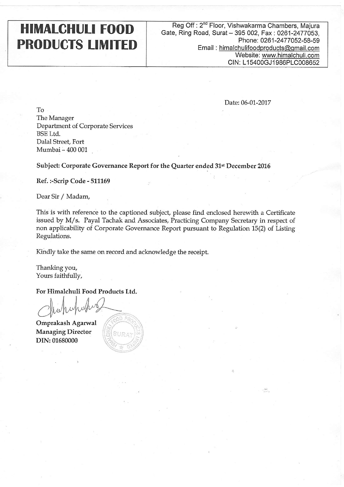## HIMALCHULI FOOD PRODUCTS LIMITED

## Reg Off : 2"" Floor, Vishwakarma Chambers, Majura Gate, Ring Road, Surat - 395 002, Fax: 0261-2477053, Phone: 0261-2477052-58-59 Email : himalchulifoodproducts@gmail.com Website: www.himalchuli.com CIN: L15400GJ1986PLC008652

Date: 06-01-2017

To The Manager Department of Corporate Services BSE Ltd. Dalal Street, Fort Mumbai - 400 <sup>001</sup>

Subject: Corporate Governance Report for the Quarter ended 31st December 2016

Ref.:-Scrip Code - 511169

Dear Sir / Madam,

This is with reference to the captioned subject, please find enclosed herewith a Certificate issued by M/s. Payal Tachak and Associates, Practicing Company Secretary in respect of non applicability of Corporate Governance Report pursuant to Regulation 15(2) of Listing Regulations.

Kindly take the same on record and acknowledge the receipt.

Thanking you, Yours faithfully,

For Himalchuli Food Products Ltd.

dr. chupubus

Omprakash Agarwal Managing Director DIN:01680000